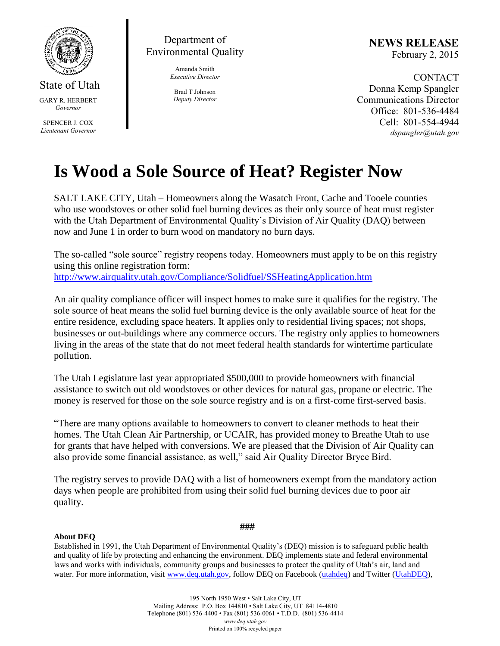

State of Utah GARY R. HERBERT

*Governor*

SPENCER J. COX *Lieutenant Governor*

Department of Environmental Quality

> Amanda Smith *Executive Director*

Brad T Johnson *Deputy Director* **NEWS RELEASE** February 2, 2015

CONTACT Donna Kemp Spangler Communications Director Office: 801-536-4484 Cell: 801-554-4944 *dspangler@utah.gov*

## **Is Wood a Sole Source of Heat? Register Now**

SALT LAKE CITY, Utah – Homeowners along the Wasatch Front, Cache and Tooele counties who use woodstoves or other solid fuel burning devices as their only source of heat must register with the Utah Department of Environmental Quality's Division of Air Quality (DAQ) between now and June 1 in order to burn wood on mandatory no burn days.

The so-called "sole source" registry reopens today. Homeowners must apply to be on this registry using this online registration form: <http://www.airquality.utah.gov/Compliance/Solidfuel/SSHeatingApplication.htm>

An air quality compliance officer will inspect homes to make sure it qualifies for the registry. The sole source of heat means the solid fuel burning device is the only available source of heat for the entire residence, excluding space heaters. It applies only to residential living spaces; not shops, businesses or out-buildings where any commerce occurs. The registry only applies to homeowners living in the areas of the state that do not meet federal health standards for wintertime particulate pollution.

The Utah Legislature last year appropriated \$500,000 to provide homeowners with financial assistance to switch out old woodstoves or other devices for natural gas, propane or electric. The money is reserved for those on the sole source registry and is on a first-come first-served basis.

"There are many options available to homeowners to convert to cleaner methods to heat their homes. The Utah Clean Air Partnership, or UCAIR, has provided money to Breathe Utah to use for grants that have helped with conversions. We are pleased that the Division of Air Quality can also provide some financial assistance, as well," said Air Quality Director Bryce Bird.

The registry serves to provide DAQ with a list of homeowners exempt from the mandatory action days when people are prohibited from using their solid fuel burning devices due to poor air quality.

## **About DEQ**

**###**

Established in 1991, the Utah Department of Environmental Quality's (DEQ) mission is to safeguard public health and quality of life by protecting and enhancing the environment. DEQ implements state and federal environmental laws and works with individuals, community groups and businesses to protect the quality of Utah's air, land and water. For more information, visit [www.deq.utah.gov,](http://www.deq.utah.gov/) follow DEQ on Facebook [\(utahdeq\)](https://www.facebook.com/utahdeq) and Twitter [\(UtahDEQ\)](https://twitter.com/UtahDEQ),